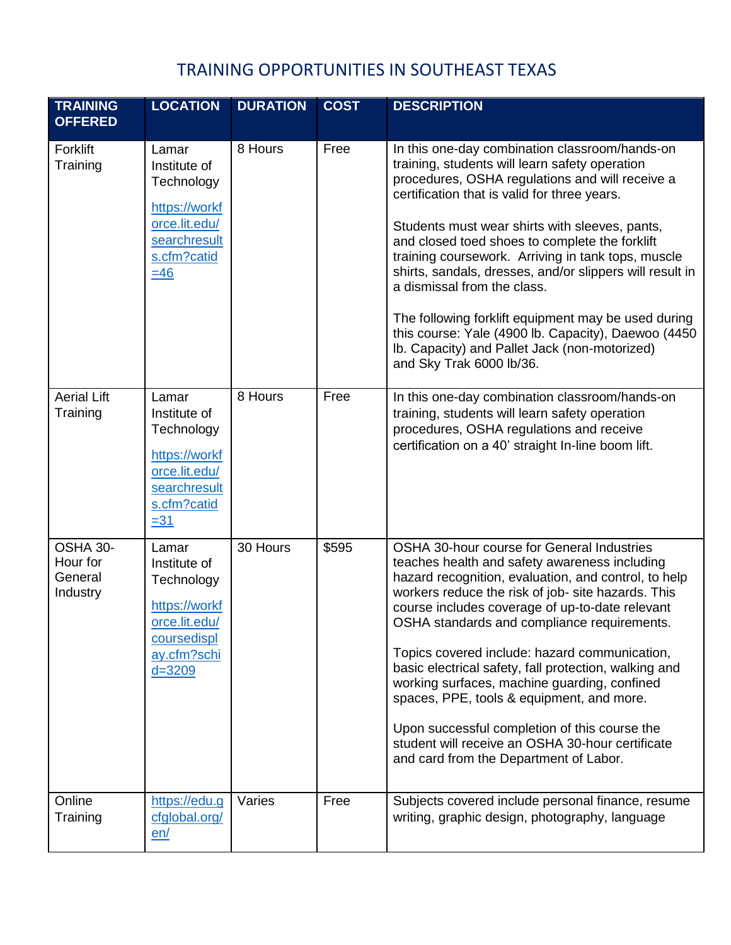| <b>TRAINING</b><br><b>OFFERED</b>           | <b>LOCATION</b>                                                                                                     | <b>DURATION</b> | <b>COST</b> | <b>DESCRIPTION</b>                                                                                                                                                                                                                                                                                                                                                                                                                                                                                                                                                                                                                                                |
|---------------------------------------------|---------------------------------------------------------------------------------------------------------------------|-----------------|-------------|-------------------------------------------------------------------------------------------------------------------------------------------------------------------------------------------------------------------------------------------------------------------------------------------------------------------------------------------------------------------------------------------------------------------------------------------------------------------------------------------------------------------------------------------------------------------------------------------------------------------------------------------------------------------|
| Forklift<br>Training                        | Lamar<br>Institute of<br>Technology<br>https://workf<br>orce.lit.edu/<br>searchresult<br>s.cfm?catid<br>$\equiv$ 46 | 8 Hours         | Free        | In this one-day combination classroom/hands-on<br>training, students will learn safety operation<br>procedures, OSHA regulations and will receive a<br>certification that is valid for three years.<br>Students must wear shirts with sleeves, pants,<br>and closed toed shoes to complete the forklift<br>training coursework. Arriving in tank tops, muscle<br>shirts, sandals, dresses, and/or slippers will result in<br>a dismissal from the class.<br>The following forklift equipment may be used during<br>this course: Yale (4900 lb. Capacity), Daewoo (4450)<br>Ib. Capacity) and Pallet Jack (non-motorized)<br>and Sky Trak 6000 lb/36.              |
| <b>Aerial Lift</b><br>Training              | Lamar<br>Institute of<br>Technology<br>https://workf<br>orce.lit.edu/<br>searchresult<br>s.cfm?catid<br>$= 31$      | 8 Hours         | Free        | In this one-day combination classroom/hands-on<br>training, students will learn safety operation<br>procedures, OSHA regulations and receive<br>certification on a 40' straight In-line boom lift.                                                                                                                                                                                                                                                                                                                                                                                                                                                                |
| OSHA 30-<br>Hour for<br>General<br>Industry | Lamar<br>Institute of<br>Technology<br>https://workf<br>orce.lit.edu/<br>coursedispl<br>ay.cfm?schi<br>$d = 3209$   | 30 Hours        | \$595       | OSHA 30-hour course for General Industries<br>teaches health and safety awareness including<br>hazard recognition, evaluation, and control, to help<br>workers reduce the risk of job- site hazards. This<br>course includes coverage of up-to-date relevant<br>OSHA standards and compliance requirements.<br>Topics covered include: hazard communication,<br>basic electrical safety, fall protection, walking and<br>working surfaces, machine guarding, confined<br>spaces, PPE, tools & equipment, and more.<br>Upon successful completion of this course the<br>student will receive an OSHA 30-hour certificate<br>and card from the Department of Labor. |
| Online<br>Training                          | https://edu.g<br>cfglobal.org/<br>en/                                                                               | Varies          | Free        | Subjects covered include personal finance, resume<br>writing, graphic design, photography, language                                                                                                                                                                                                                                                                                                                                                                                                                                                                                                                                                               |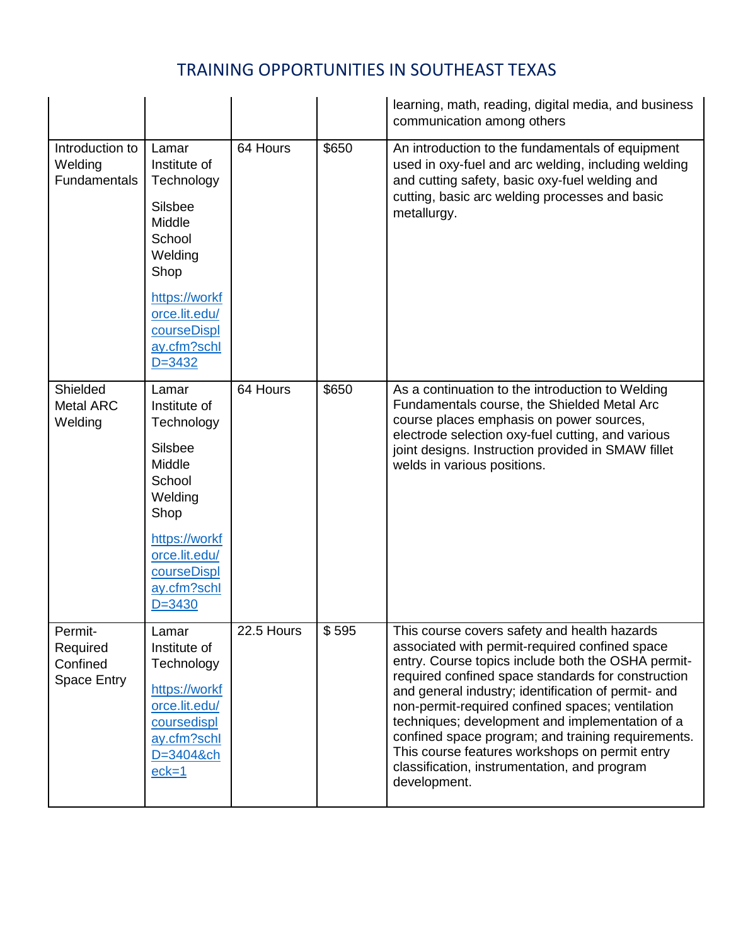|                                                       |                                                                                                                                                                            |            |       | learning, math, reading, digital media, and business<br>communication among others                                                                                                                                                                                                                                                                                                                                                                                                                                                               |
|-------------------------------------------------------|----------------------------------------------------------------------------------------------------------------------------------------------------------------------------|------------|-------|--------------------------------------------------------------------------------------------------------------------------------------------------------------------------------------------------------------------------------------------------------------------------------------------------------------------------------------------------------------------------------------------------------------------------------------------------------------------------------------------------------------------------------------------------|
| Introduction to<br>Welding<br><b>Fundamentals</b>     | Lamar<br>Institute of<br>Technology<br><b>Silsbee</b><br>Middle<br>School<br>Welding<br>Shop<br>https://workf<br>orce.lit.edu/<br>courseDispl<br>ay.cfm?schl<br>$D = 3432$ | 64 Hours   | \$650 | An introduction to the fundamentals of equipment<br>used in oxy-fuel and arc welding, including welding<br>and cutting safety, basic oxy-fuel welding and<br>cutting, basic arc welding processes and basic<br>metallurgy.                                                                                                                                                                                                                                                                                                                       |
| Shielded<br><b>Metal ARC</b><br>Welding               | Lamar<br>Institute of<br>Technology<br><b>Silsbee</b><br>Middle<br>School<br>Welding<br>Shop<br>https://workf<br>orce.lit.edu/<br>courseDispl<br>ay.cfm?schl<br>$D = 3430$ | 64 Hours   | \$650 | As a continuation to the introduction to Welding<br>Fundamentals course, the Shielded Metal Arc<br>course places emphasis on power sources,<br>electrode selection oxy-fuel cutting, and various<br>joint designs. Instruction provided in SMAW fillet<br>welds in various positions.                                                                                                                                                                                                                                                            |
| Permit-<br>Required<br>Confined<br><b>Space Entry</b> | Lamar<br>Institute of<br>Technology<br>https://workf<br>orce.lit.edu/<br>coursedispl<br>ay.cfm?schl<br>D=3404&ch<br>$eck=1$                                                | 22.5 Hours | \$595 | This course covers safety and health hazards<br>associated with permit-required confined space<br>entry. Course topics include both the OSHA permit-<br>required confined space standards for construction<br>and general industry; identification of permit- and<br>non-permit-required confined spaces; ventilation<br>techniques; development and implementation of a<br>confined space program; and training requirements.<br>This course features workshops on permit entry<br>classification, instrumentation, and program<br>development. |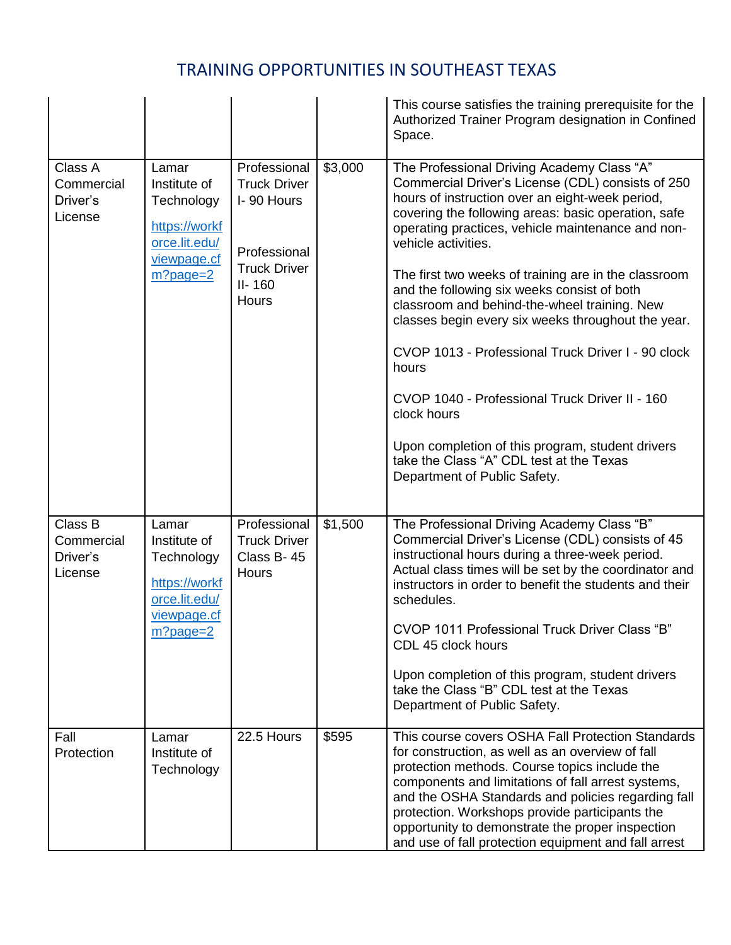|                                              |                                                                                                     |                                                                                                                 |         | This course satisfies the training prerequisite for the<br>Authorized Trainer Program designation in Confined<br>Space.                                                                                                                                                                                                                                                                                                                                                                                                                                                                                                                                                                                                                                            |
|----------------------------------------------|-----------------------------------------------------------------------------------------------------|-----------------------------------------------------------------------------------------------------------------|---------|--------------------------------------------------------------------------------------------------------------------------------------------------------------------------------------------------------------------------------------------------------------------------------------------------------------------------------------------------------------------------------------------------------------------------------------------------------------------------------------------------------------------------------------------------------------------------------------------------------------------------------------------------------------------------------------------------------------------------------------------------------------------|
| Class A<br>Commercial<br>Driver's<br>License | Lamar<br>Institute of<br>Technology<br>https://workf<br>orce.lit.edu/<br>viewpage.cf<br>$m?page=2$  | Professional<br><b>Truck Driver</b><br>I-90 Hours<br>Professional<br><b>Truck Driver</b><br>$II - 160$<br>Hours | \$3,000 | The Professional Driving Academy Class "A"<br>Commercial Driver's License (CDL) consists of 250<br>hours of instruction over an eight-week period,<br>covering the following areas: basic operation, safe<br>operating practices, vehicle maintenance and non-<br>vehicle activities.<br>The first two weeks of training are in the classroom<br>and the following six weeks consist of both<br>classroom and behind-the-wheel training. New<br>classes begin every six weeks throughout the year.<br>CVOP 1013 - Professional Truck Driver I - 90 clock<br>hours<br>CVOP 1040 - Professional Truck Driver II - 160<br>clock hours<br>Upon completion of this program, student drivers<br>take the Class "A" CDL test at the Texas<br>Department of Public Safety. |
| Class B<br>Commercial<br>Driver's<br>License | Lamar<br>Institute of<br>Technology<br>https://workf<br>orce.lit.edu/<br>viewpage.cf<br>$m?$ page=2 | Professional<br><b>Truck Driver</b><br>Class B-45<br>Hours                                                      | \$1,500 | The Professional Driving Academy Class "B"<br>Commercial Driver's License (CDL) consists of 45<br>instructional hours during a three-week period.<br>Actual class times will be set by the coordinator and<br>instructors in order to benefit the students and their<br>schedules.<br>CVOP 1011 Professional Truck Driver Class "B"<br>CDL 45 clock hours<br>Upon completion of this program, student drivers<br>take the Class "B" CDL test at the Texas<br>Department of Public Safety.                                                                                                                                                                                                                                                                          |
| Fall<br>Protection                           | Lamar<br>Institute of<br>Technology                                                                 | 22.5 Hours                                                                                                      | \$595   | This course covers OSHA Fall Protection Standards<br>for construction, as well as an overview of fall<br>protection methods. Course topics include the<br>components and limitations of fall arrest systems,<br>and the OSHA Standards and policies regarding fall<br>protection. Workshops provide participants the<br>opportunity to demonstrate the proper inspection<br>and use of fall protection equipment and fall arrest                                                                                                                                                                                                                                                                                                                                   |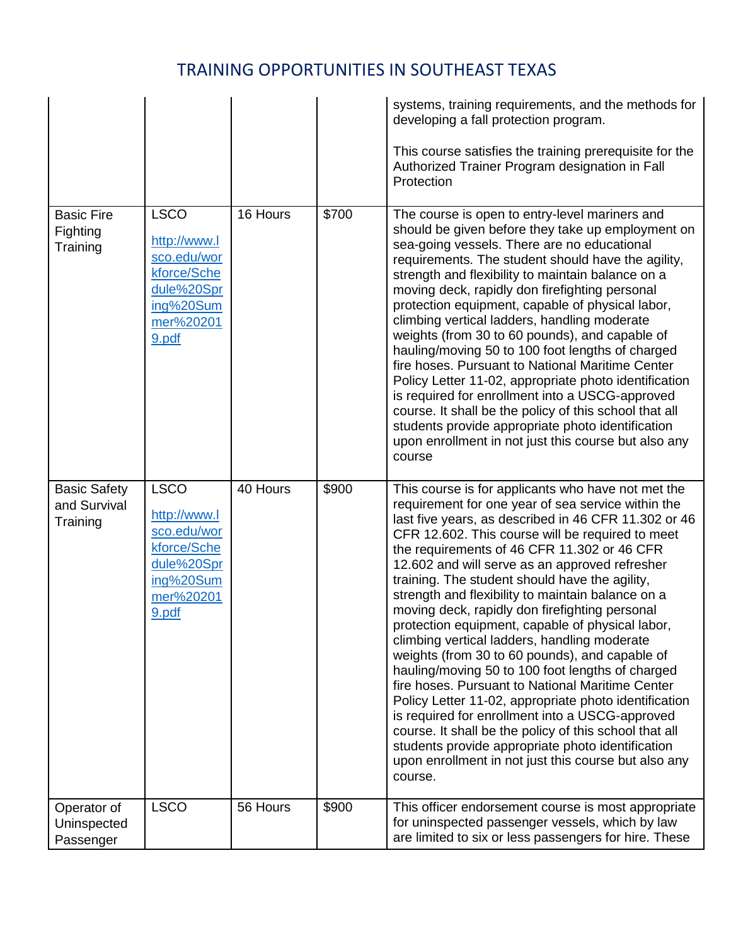|                                                 |                                                                                                            |          |       | systems, training requirements, and the methods for<br>developing a fall protection program.<br>This course satisfies the training prerequisite for the<br>Authorized Trainer Program designation in Fall<br>Protection                                                                                                                                                                                                                                                                                                                                                                                                                                                                                                                                                                                                                                                                                                                                                                                                                    |
|-------------------------------------------------|------------------------------------------------------------------------------------------------------------|----------|-------|--------------------------------------------------------------------------------------------------------------------------------------------------------------------------------------------------------------------------------------------------------------------------------------------------------------------------------------------------------------------------------------------------------------------------------------------------------------------------------------------------------------------------------------------------------------------------------------------------------------------------------------------------------------------------------------------------------------------------------------------------------------------------------------------------------------------------------------------------------------------------------------------------------------------------------------------------------------------------------------------------------------------------------------------|
| <b>Basic Fire</b><br>Fighting<br>Training       | <b>LSCO</b><br>http://www.l<br>sco.edu/wor<br>kforce/Sche<br>dule%20Spr<br>ing%20Sum<br>mer%20201<br>9.pdf | 16 Hours | \$700 | The course is open to entry-level mariners and<br>should be given before they take up employment on<br>sea-going vessels. There are no educational<br>requirements. The student should have the agility,<br>strength and flexibility to maintain balance on a<br>moving deck, rapidly don firefighting personal<br>protection equipment, capable of physical labor,<br>climbing vertical ladders, handling moderate<br>weights (from 30 to 60 pounds), and capable of<br>hauling/moving 50 to 100 foot lengths of charged<br>fire hoses. Pursuant to National Maritime Center<br>Policy Letter 11-02, appropriate photo identification<br>is required for enrollment into a USCG-approved<br>course. It shall be the policy of this school that all<br>students provide appropriate photo identification<br>upon enrollment in not just this course but also any<br>course                                                                                                                                                                 |
| <b>Basic Safety</b><br>and Survival<br>Training | <b>LSCO</b><br>http://www.l<br>sco.edu/wor<br>kforce/Sche<br>dule%20Spr<br>ing%20Sum<br>mer%20201<br>9.pdf | 40 Hours | \$900 | This course is for applicants who have not met the<br>requirement for one year of sea service within the<br>last five years, as described in 46 CFR 11.302 or 46<br>CFR 12.602. This course will be required to meet<br>the requirements of 46 CFR 11.302 or 46 CFR<br>12.602 and will serve as an approved refresher<br>training. The student should have the agility,<br>strength and flexibility to maintain balance on a<br>moving deck, rapidly don firefighting personal<br>protection equipment, capable of physical labor,<br>climbing vertical ladders, handling moderate<br>weights (from 30 to 60 pounds), and capable of<br>hauling/moving 50 to 100 foot lengths of charged<br>fire hoses. Pursuant to National Maritime Center<br>Policy Letter 11-02, appropriate photo identification<br>is required for enrollment into a USCG-approved<br>course. It shall be the policy of this school that all<br>students provide appropriate photo identification<br>upon enrollment in not just this course but also any<br>course. |
| Operator of<br>Uninspected<br>Passenger         | <b>LSCO</b>                                                                                                | 56 Hours | \$900 | This officer endorsement course is most appropriate<br>for uninspected passenger vessels, which by law<br>are limited to six or less passengers for hire. These                                                                                                                                                                                                                                                                                                                                                                                                                                                                                                                                                                                                                                                                                                                                                                                                                                                                            |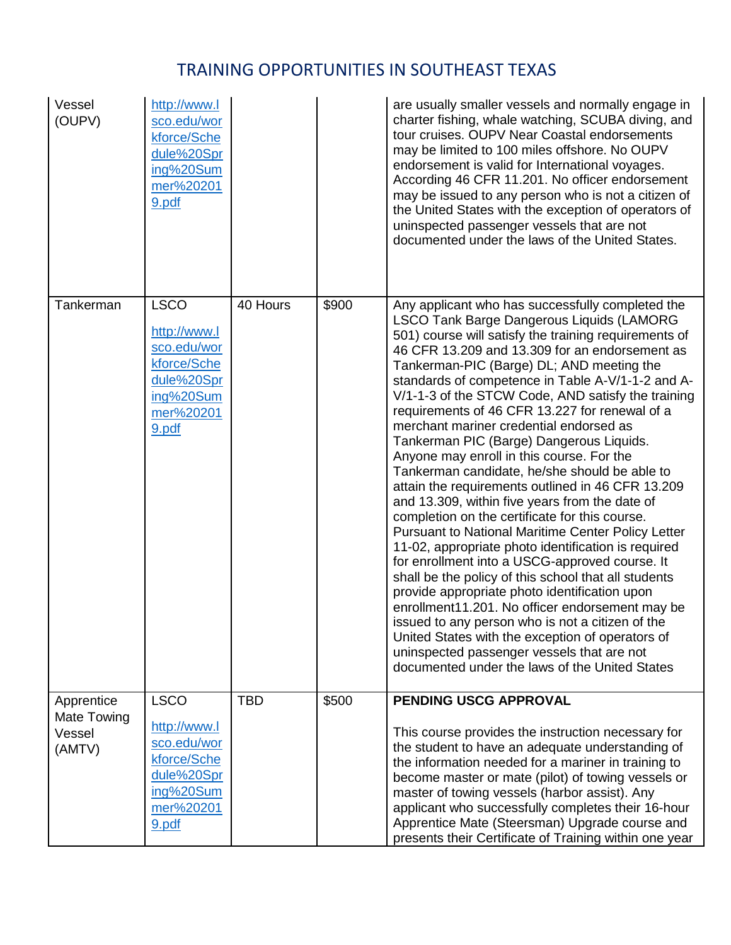| Vessel<br>(OUPV)                              | http://www.l<br>sco.edu/wor<br>kforce/Sche<br>dule%20Spr<br>ing%20Sum<br>mer%20201<br>9.pdf                |            |       | are usually smaller vessels and normally engage in<br>charter fishing, whale watching, SCUBA diving, and<br>tour cruises. OUPV Near Coastal endorsements<br>may be limited to 100 miles offshore. No OUPV<br>endorsement is valid for International voyages.<br>According 46 CFR 11.201. No officer endorsement<br>may be issued to any person who is not a citizen of<br>the United States with the exception of operators of<br>uninspected passenger vessels that are not<br>documented under the laws of the United States.                                                                                                                                                                                                                                                                                                                                                                                                                                                                                                                                                                                                                                                                                                                                                                                   |
|-----------------------------------------------|------------------------------------------------------------------------------------------------------------|------------|-------|-------------------------------------------------------------------------------------------------------------------------------------------------------------------------------------------------------------------------------------------------------------------------------------------------------------------------------------------------------------------------------------------------------------------------------------------------------------------------------------------------------------------------------------------------------------------------------------------------------------------------------------------------------------------------------------------------------------------------------------------------------------------------------------------------------------------------------------------------------------------------------------------------------------------------------------------------------------------------------------------------------------------------------------------------------------------------------------------------------------------------------------------------------------------------------------------------------------------------------------------------------------------------------------------------------------------|
| Tankerman                                     | <b>LSCO</b><br>http://www.l<br>sco.edu/wor<br>kforce/Sche<br>dule%20Spr<br>ing%20Sum<br>mer%20201<br>9.pdf | 40 Hours   | \$900 | Any applicant who has successfully completed the<br><b>LSCO Tank Barge Dangerous Liquids (LAMORG</b><br>501) course will satisfy the training requirements of<br>46 CFR 13.209 and 13.309 for an endorsement as<br>Tankerman-PIC (Barge) DL; AND meeting the<br>standards of competence in Table A-V/1-1-2 and A-<br>V/1-1-3 of the STCW Code, AND satisfy the training<br>requirements of 46 CFR 13.227 for renewal of a<br>merchant mariner credential endorsed as<br>Tankerman PIC (Barge) Dangerous Liquids.<br>Anyone may enroll in this course. For the<br>Tankerman candidate, he/she should be able to<br>attain the requirements outlined in 46 CFR 13.209<br>and 13.309, within five years from the date of<br>completion on the certificate for this course.<br><b>Pursuant to National Maritime Center Policy Letter</b><br>11-02, appropriate photo identification is required<br>for enrollment into a USCG-approved course. It<br>shall be the policy of this school that all students<br>provide appropriate photo identification upon<br>enrollment11.201. No officer endorsement may be<br>issued to any person who is not a citizen of the<br>United States with the exception of operators of<br>uninspected passenger vessels that are not<br>documented under the laws of the United States |
| Apprentice<br>Mate Towing<br>Vessel<br>(AMTV) | <b>LSCO</b><br>http://www.l<br>sco.edu/wor<br>kforce/Sche<br>dule%20Spr<br>ing%20Sum<br>mer%20201<br>9.pdf | <b>TBD</b> | \$500 | PENDING USCG APPROVAL<br>This course provides the instruction necessary for<br>the student to have an adequate understanding of<br>the information needed for a mariner in training to<br>become master or mate (pilot) of towing vessels or<br>master of towing vessels (harbor assist). Any<br>applicant who successfully completes their 16-hour<br>Apprentice Mate (Steersman) Upgrade course and<br>presents their Certificate of Training within one year                                                                                                                                                                                                                                                                                                                                                                                                                                                                                                                                                                                                                                                                                                                                                                                                                                                   |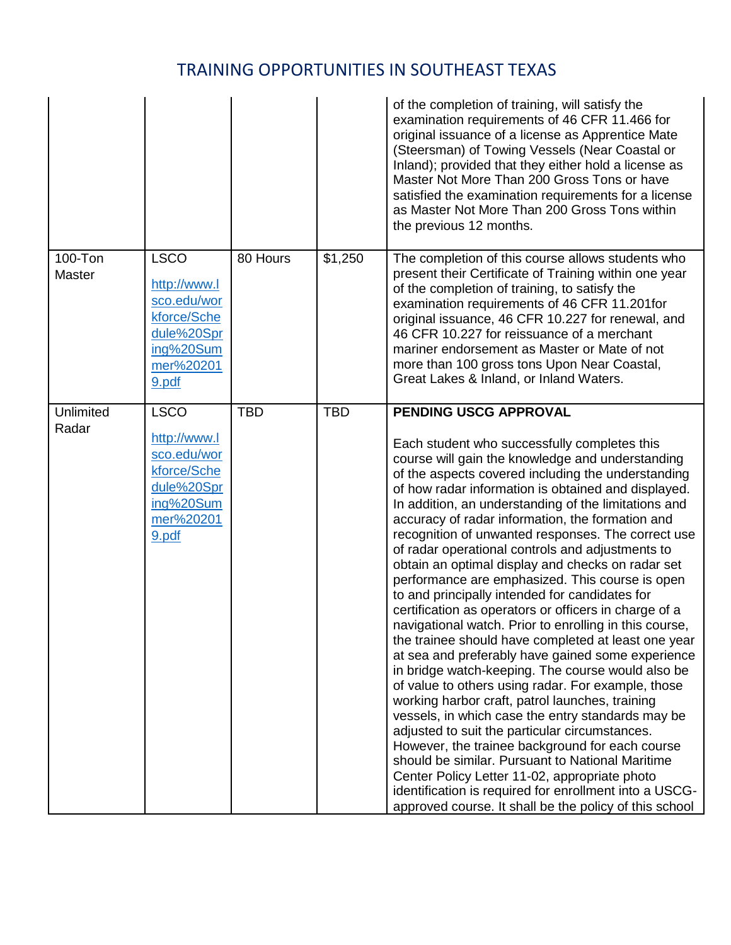|                    |                                                                                                            |            |            | of the completion of training, will satisfy the<br>examination requirements of 46 CFR 11.466 for<br>original issuance of a license as Apprentice Mate<br>(Steersman) of Towing Vessels (Near Coastal or<br>Inland); provided that they either hold a license as<br>Master Not More Than 200 Gross Tons or have<br>satisfied the examination requirements for a license<br>as Master Not More Than 200 Gross Tons within<br>the previous 12 months.                                                                                                                                                                                                                                                                                                                                                                                                                                                                                                                                                                                                                                                                                                                                                                                                                                                                                                                                                     |
|--------------------|------------------------------------------------------------------------------------------------------------|------------|------------|--------------------------------------------------------------------------------------------------------------------------------------------------------------------------------------------------------------------------------------------------------------------------------------------------------------------------------------------------------------------------------------------------------------------------------------------------------------------------------------------------------------------------------------------------------------------------------------------------------------------------------------------------------------------------------------------------------------------------------------------------------------------------------------------------------------------------------------------------------------------------------------------------------------------------------------------------------------------------------------------------------------------------------------------------------------------------------------------------------------------------------------------------------------------------------------------------------------------------------------------------------------------------------------------------------------------------------------------------------------------------------------------------------|
| 100-Ton<br>Master  | <b>LSCO</b><br>http://www.l<br>sco.edu/wor<br>kforce/Sche<br>dule%20Spr<br>ing%20Sum<br>mer%20201<br>9.pdf | 80 Hours   | \$1,250    | The completion of this course allows students who<br>present their Certificate of Training within one year<br>of the completion of training, to satisfy the<br>examination requirements of 46 CFR 11.201for<br>original issuance, 46 CFR 10.227 for renewal, and<br>46 CFR 10.227 for reissuance of a merchant<br>mariner endorsement as Master or Mate of not<br>more than 100 gross tons Upon Near Coastal,<br>Great Lakes & Inland, or Inland Waters.                                                                                                                                                                                                                                                                                                                                                                                                                                                                                                                                                                                                                                                                                                                                                                                                                                                                                                                                               |
| Unlimited<br>Radar | <b>LSCO</b><br>http://www.l<br>sco.edu/wor<br>kforce/Sche<br>dule%20Spr<br>ing%20Sum<br>mer%20201<br>9.pdf | <b>TBD</b> | <b>TBD</b> | PENDING USCG APPROVAL<br>Each student who successfully completes this<br>course will gain the knowledge and understanding<br>of the aspects covered including the understanding<br>of how radar information is obtained and displayed.<br>In addition, an understanding of the limitations and<br>accuracy of radar information, the formation and<br>recognition of unwanted responses. The correct use<br>of radar operational controls and adjustments to<br>obtain an optimal display and checks on radar set<br>performance are emphasized. This course is open<br>to and principally intended for candidates for<br>certification as operators or officers in charge of a<br>navigational watch. Prior to enrolling in this course,<br>the trainee should have completed at least one year<br>at sea and preferably have gained some experience<br>in bridge watch-keeping. The course would also be<br>of value to others using radar. For example, those<br>working harbor craft, patrol launches, training<br>vessels, in which case the entry standards may be<br>adjusted to suit the particular circumstances.<br>However, the trainee background for each course<br>should be similar. Pursuant to National Maritime<br>Center Policy Letter 11-02, appropriate photo<br>identification is required for enrollment into a USCG-<br>approved course. It shall be the policy of this school |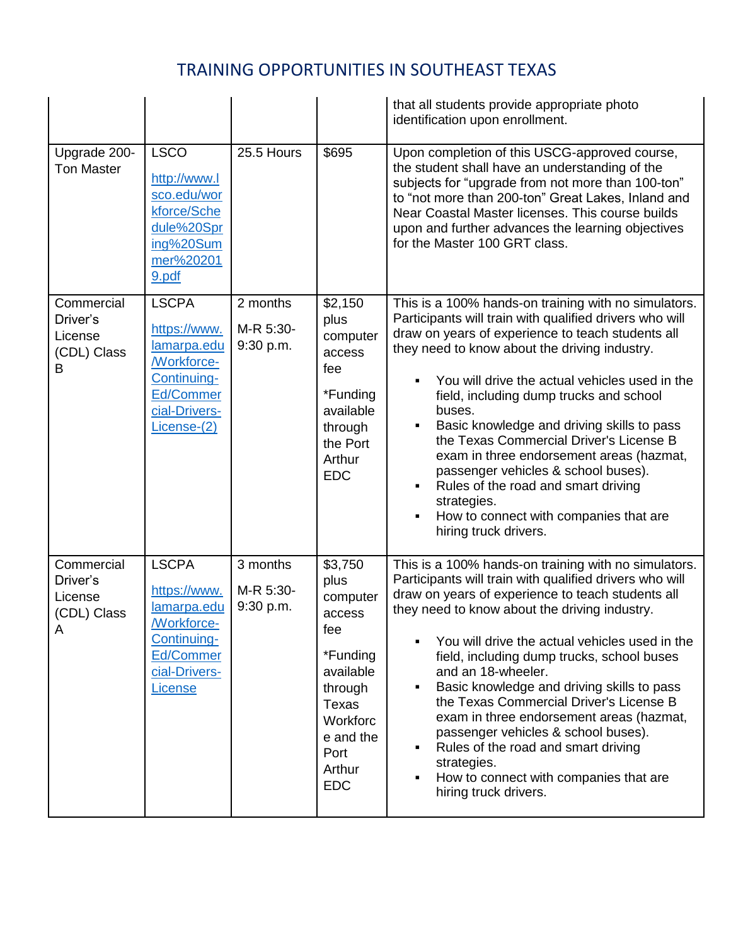|                                                       |                                                                                                                        |                                    |                                                                                                                                                                       | that all students provide appropriate photo<br>identification upon enrollment.                                                                                                                                                                                                                                                                                                                                                                                                                                                                                                                                                                   |
|-------------------------------------------------------|------------------------------------------------------------------------------------------------------------------------|------------------------------------|-----------------------------------------------------------------------------------------------------------------------------------------------------------------------|--------------------------------------------------------------------------------------------------------------------------------------------------------------------------------------------------------------------------------------------------------------------------------------------------------------------------------------------------------------------------------------------------------------------------------------------------------------------------------------------------------------------------------------------------------------------------------------------------------------------------------------------------|
| Upgrade 200-<br><b>Ton Master</b>                     | <b>LSCO</b><br>http://www.l<br>sco.edu/wor<br>kforce/Sche<br>dule%20Spr<br>ing%20Sum<br>mer%20201<br>9.pdf             | 25.5 Hours                         | \$695                                                                                                                                                                 | Upon completion of this USCG-approved course,<br>the student shall have an understanding of the<br>subjects for "upgrade from not more than 100-ton"<br>to "not more than 200-ton" Great Lakes, Inland and<br>Near Coastal Master licenses. This course builds<br>upon and further advances the learning objectives<br>for the Master 100 GRT class.                                                                                                                                                                                                                                                                                             |
| Commercial<br>Driver's<br>License<br>(CDL) Class<br>В | <b>LSCPA</b><br>https://www.<br>lamarpa.edu<br>/Workforce-<br>Continuing-<br>Ed/Commer<br>cial-Drivers-<br>License-(2) | 2 months<br>M-R 5:30-<br>9:30 p.m. | \$2,150<br>plus<br>computer<br>access<br>fee<br>*Funding<br>available<br>through<br>the Port<br>Arthur<br><b>EDC</b>                                                  | This is a 100% hands-on training with no simulators.<br>Participants will train with qualified drivers who will<br>draw on years of experience to teach students all<br>they need to know about the driving industry.<br>You will drive the actual vehicles used in the<br>field, including dump trucks and school<br>buses.<br>Basic knowledge and driving skills to pass<br>the Texas Commercial Driver's License B<br>exam in three endorsement areas (hazmat,<br>passenger vehicles & school buses).<br>Rules of the road and smart driving<br>strategies.<br>How to connect with companies that are<br>hiring truck drivers.                |
| Commercial<br>Driver's<br>License<br>(CDL) Class<br>Α | <b>LSCPA</b><br>https://www.<br>lamarpa.edu<br>/Workforce-<br>Continuing-<br>Ed/Commer<br>cial-Drivers-<br>License     | 3 months<br>M-R 5:30-<br>9:30 p.m. | $\overline{$3,750}$<br>plus<br>computer<br>access<br>fee<br>*Funding<br>available<br>through<br><b>Texas</b><br>Workforc<br>e and the<br>Port<br>Arthur<br><b>EDC</b> | This is a 100% hands-on training with no simulators.<br>Participants will train with qualified drivers who will<br>draw on years of experience to teach students all<br>they need to know about the driving industry.<br>You will drive the actual vehicles used in the<br>field, including dump trucks, school buses<br>and an 18-wheeler.<br>Basic knowledge and driving skills to pass<br>the Texas Commercial Driver's License B<br>exam in three endorsement areas (hazmat,<br>passenger vehicles & school buses).<br>Rules of the road and smart driving<br>strategies.<br>How to connect with companies that are<br>hiring truck drivers. |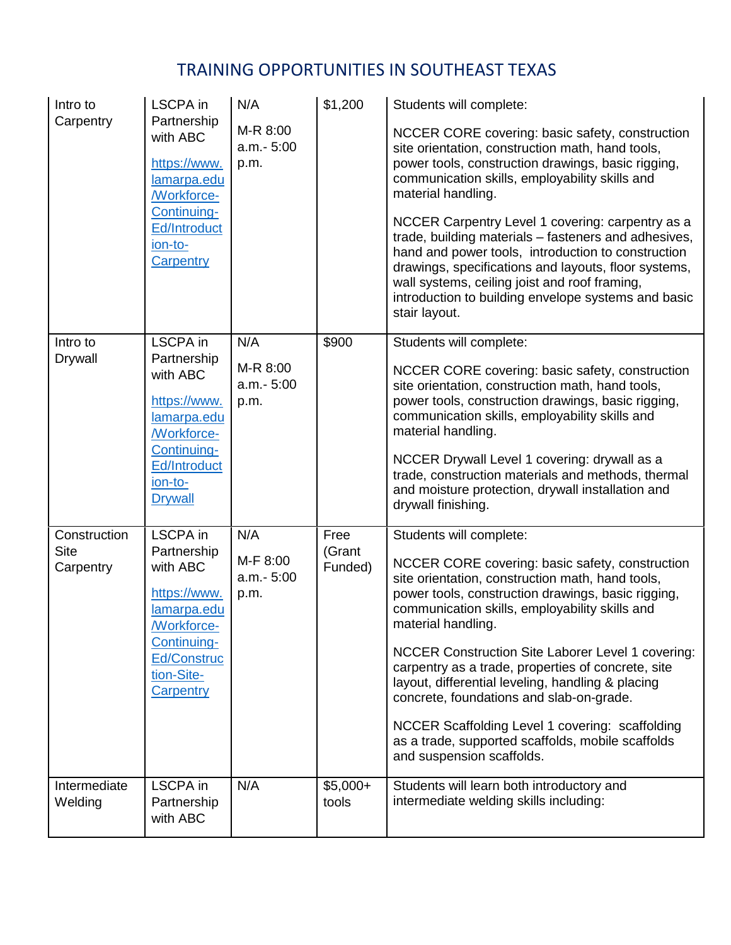| Intro to<br>Carpentry                    | LSCPA in<br>Partnership<br>with ABC<br>https://www.<br>lamarpa.edu<br><b>Workforce-</b><br>Continuing-<br>Ed/Introduct<br>ion-to-<br>Carpentry             | N/A<br>M-R 8:00<br>a.m.- 5:00<br>p.m. | \$1,200                   | Students will complete:<br>NCCER CORE covering: basic safety, construction<br>site orientation, construction math, hand tools,<br>power tools, construction drawings, basic rigging,<br>communication skills, employability skills and<br>material handling.<br>NCCER Carpentry Level 1 covering: carpentry as a<br>trade, building materials - fasteners and adhesives,<br>hand and power tools, introduction to construction<br>drawings, specifications and layouts, floor systems,<br>wall systems, ceiling joist and roof framing,<br>introduction to building envelope systems and basic<br>stair layout. |
|------------------------------------------|------------------------------------------------------------------------------------------------------------------------------------------------------------|---------------------------------------|---------------------------|-----------------------------------------------------------------------------------------------------------------------------------------------------------------------------------------------------------------------------------------------------------------------------------------------------------------------------------------------------------------------------------------------------------------------------------------------------------------------------------------------------------------------------------------------------------------------------------------------------------------|
| Intro to<br>Drywall                      | <b>LSCPA</b> in<br>Partnership<br>with ABC<br>https://www.<br>lamarpa.edu<br><b>Morkforce-</b><br>Continuing-<br>Ed/Introduct<br>ion-to-<br><b>Drywall</b> | N/A<br>M-R 8:00<br>a.m.- 5:00<br>p.m. | \$900                     | Students will complete:<br>NCCER CORE covering: basic safety, construction<br>site orientation, construction math, hand tools,<br>power tools, construction drawings, basic rigging,<br>communication skills, employability skills and<br>material handling.<br>NCCER Drywall Level 1 covering: drywall as a<br>trade, construction materials and methods, thermal<br>and moisture protection, drywall installation and<br>drywall finishing.                                                                                                                                                                   |
| Construction<br><b>Site</b><br>Carpentry | <b>LSCPA</b> in<br>Partnership<br>with ABC<br>https://www.<br>lamarpa.edu<br>/Workforce-<br>Continuing-<br><b>Ed/Construc</b><br>tion-Site-<br>Carpentry   | N/A<br>M-F 8:00<br>a.m.- 5:00<br>p.m. | Free<br>(Grant<br>Funded) | Students will complete:<br>NCCER CORE covering: basic safety, construction<br>site orientation, construction math, hand tools,<br>power tools, construction drawings, basic rigging,<br>communication skills, employability skills and<br>material handling.<br>NCCER Construction Site Laborer Level 1 covering:<br>carpentry as a trade, properties of concrete, site<br>layout, differential leveling, handling & placing<br>concrete, foundations and slab-on-grade.<br>NCCER Scaffolding Level 1 covering: scaffolding<br>as a trade, supported scaffolds, mobile scaffolds<br>and suspension scaffolds.   |
| Intermediate<br>Welding                  | <b>LSCPA</b> in<br>Partnership<br>with ABC                                                                                                                 | N/A                                   | $$5,000+$<br>tools        | Students will learn both introductory and<br>intermediate welding skills including:                                                                                                                                                                                                                                                                                                                                                                                                                                                                                                                             |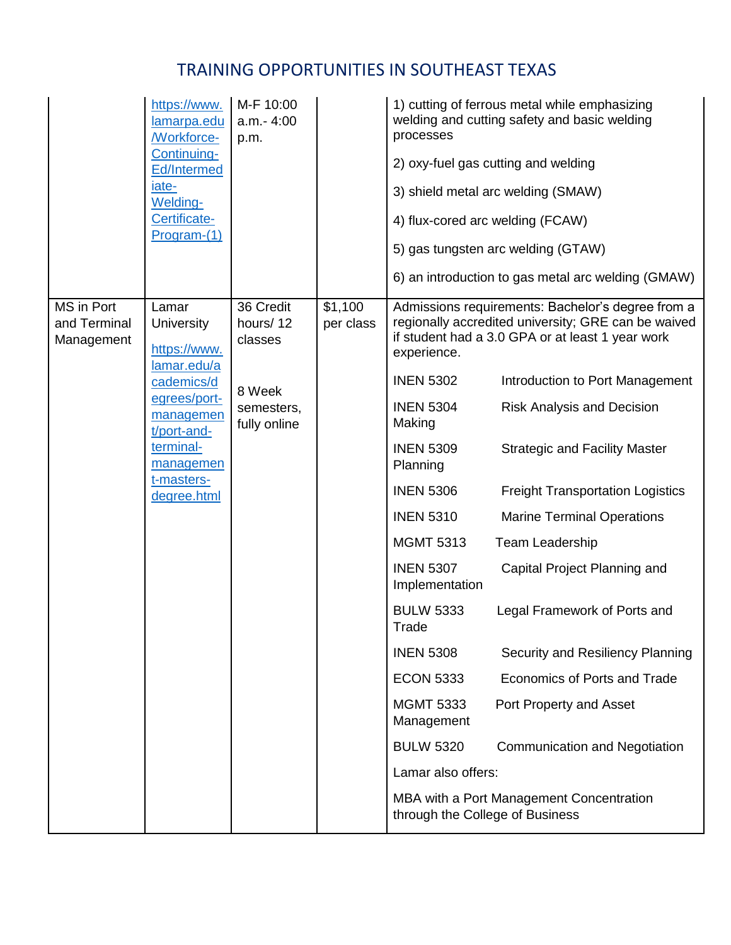|                                          | https://www.<br>lamarpa.edu<br><b>Morkforce-</b><br>Continuing-<br>Ed/Intermed<br>iate-<br>Welding-<br>Certificate-<br>Program-(1)                                  | M-F 10:00<br>a.m.-4:00<br>p.m.                                           |                      | processes<br>4) flux-cored arc welding (FCAW)                                                                                                                                                                                                                                                                                                    | 1) cutting of ferrous metal while emphasizing<br>welding and cutting safety and basic welding<br>2) oxy-fuel gas cutting and welding<br>3) shield metal arc welding (SMAW)<br>5) gas tungsten arc welding (GTAW)<br>6) an introduction to gas metal arc welding (GMAW)                                                                                                                                                                                                                                                                                                                                                                    |
|------------------------------------------|---------------------------------------------------------------------------------------------------------------------------------------------------------------------|--------------------------------------------------------------------------|----------------------|--------------------------------------------------------------------------------------------------------------------------------------------------------------------------------------------------------------------------------------------------------------------------------------------------------------------------------------------------|-------------------------------------------------------------------------------------------------------------------------------------------------------------------------------------------------------------------------------------------------------------------------------------------------------------------------------------------------------------------------------------------------------------------------------------------------------------------------------------------------------------------------------------------------------------------------------------------------------------------------------------------|
| MS in Port<br>and Terminal<br>Management | Lamar<br>University<br>https://www.<br>lamar.edu/a<br>cademics/d<br>egrees/port-<br>managemen<br>t/port-and-<br>terminal-<br>managemen<br>t-masters-<br>degree.html | 36 Credit<br>hours/12<br>classes<br>8 Week<br>semesters,<br>fully online | \$1,100<br>per class | experience.<br><b>INEN 5302</b><br><b>INEN 5304</b><br>Making<br><b>INEN 5309</b><br>Planning<br><b>INEN 5306</b><br><b>INEN 5310</b><br><b>MGMT 5313</b><br><b>INEN 5307</b><br>Implementation<br><b>BULW 5333</b><br>Trade<br><b>INEN 5308</b><br><b>ECON 5333</b><br><b>MGMT 5333</b><br>Management<br><b>BULW 5320</b><br>Lamar also offers: | Admissions requirements: Bachelor's degree from a<br>regionally accredited university; GRE can be waived<br>if student had a 3.0 GPA or at least 1 year work<br>Introduction to Port Management<br><b>Risk Analysis and Decision</b><br><b>Strategic and Facility Master</b><br><b>Freight Transportation Logistics</b><br><b>Marine Terminal Operations</b><br><b>Team Leadership</b><br>Capital Project Planning and<br>Legal Framework of Ports and<br>Security and Resiliency Planning<br>Economics of Ports and Trade<br>Port Property and Asset<br><b>Communication and Negotiation</b><br>MBA with a Port Management Concentration |
|                                          |                                                                                                                                                                     |                                                                          |                      | through the College of Business                                                                                                                                                                                                                                                                                                                  |                                                                                                                                                                                                                                                                                                                                                                                                                                                                                                                                                                                                                                           |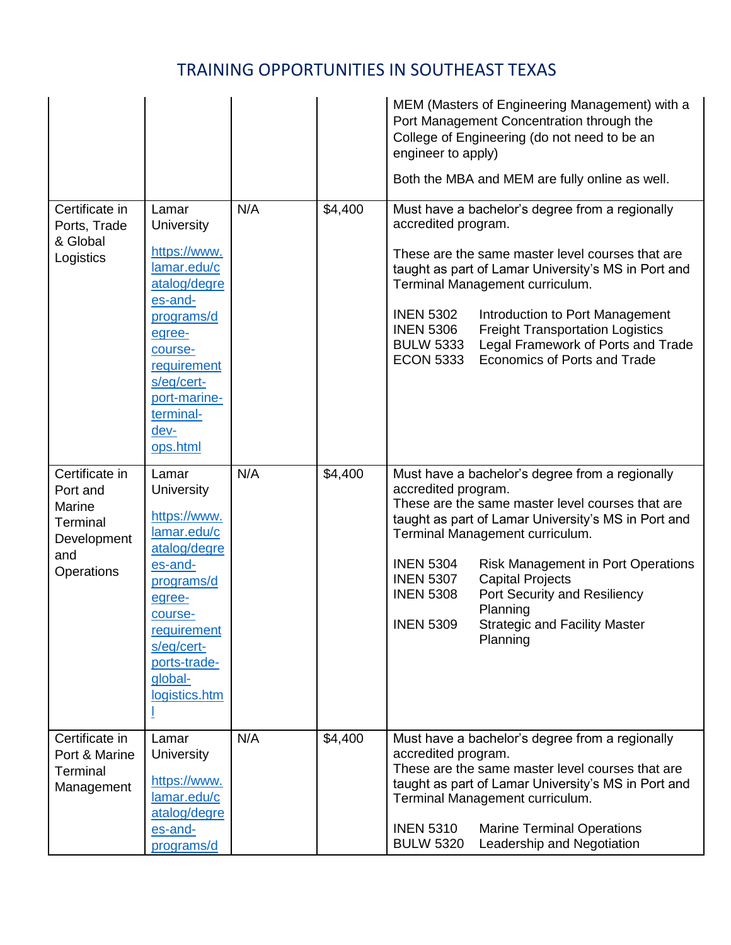|                                                                                      |                                                                                                                                                                                                       |     |         | MEM (Masters of Engineering Management) with a<br>Port Management Concentration through the<br>College of Engineering (do not need to be an<br>engineer to apply)<br>Both the MBA and MEM are fully online as well.                                                                                                                                                                                                                                                          |
|--------------------------------------------------------------------------------------|-------------------------------------------------------------------------------------------------------------------------------------------------------------------------------------------------------|-----|---------|------------------------------------------------------------------------------------------------------------------------------------------------------------------------------------------------------------------------------------------------------------------------------------------------------------------------------------------------------------------------------------------------------------------------------------------------------------------------------|
| Certificate in<br>Ports, Trade<br>& Global<br>Logistics                              | Lamar<br><b>University</b><br>https://www.<br>lamar.edu/c<br>atalog/degre<br>es-and-<br>programs/d<br>egree-<br>course-<br>requirement<br>s/eg/cert-<br>port-marine-<br>terminal-<br>dev-<br>ops.html | N/A | \$4,400 | Must have a bachelor's degree from a regionally<br>accredited program.<br>These are the same master level courses that are<br>taught as part of Lamar University's MS in Port and<br>Terminal Management curriculum.<br><b>INEN 5302</b><br>Introduction to Port Management<br><b>INEN 5306</b><br><b>Freight Transportation Logistics</b><br>Legal Framework of Ports and Trade<br><b>BULW 5333</b><br>Economics of Ports and Trade<br><b>ECON 5333</b>                     |
| Certificate in<br>Port and<br>Marine<br>Terminal<br>Development<br>and<br>Operations | Lamar<br><b>University</b><br>https://www.<br>lamar.edu/c<br>atalog/degre<br>es-and-<br>programs/d<br>egree-<br>course-<br>requirement<br>s/eg/cert-<br>ports-trade-<br>global-<br>logistics.htm      | N/A | \$4,400 | Must have a bachelor's degree from a regionally<br>accredited program.<br>These are the same master level courses that are<br>taught as part of Lamar University's MS in Port and<br>Terminal Management curriculum.<br><b>INEN 5304</b><br><b>Risk Management in Port Operations</b><br><b>INEN 5307</b><br><b>Capital Projects</b><br><b>INEN 5308</b><br>Port Security and Resiliency<br>Planning<br><b>INEN 5309</b><br><b>Strategic and Facility Master</b><br>Planning |
| Certificate in<br>Port & Marine<br>Terminal<br>Management                            | Lamar<br><b>University</b><br>https://www.<br>lamar.edu/c<br>atalog/degre<br>es-and-<br>programs/d                                                                                                    | N/A | \$4,400 | Must have a bachelor's degree from a regionally<br>accredited program.<br>These are the same master level courses that are<br>taught as part of Lamar University's MS in Port and<br>Terminal Management curriculum.<br><b>INEN 5310</b><br><b>Marine Terminal Operations</b><br><b>BULW 5320</b><br>Leadership and Negotiation                                                                                                                                              |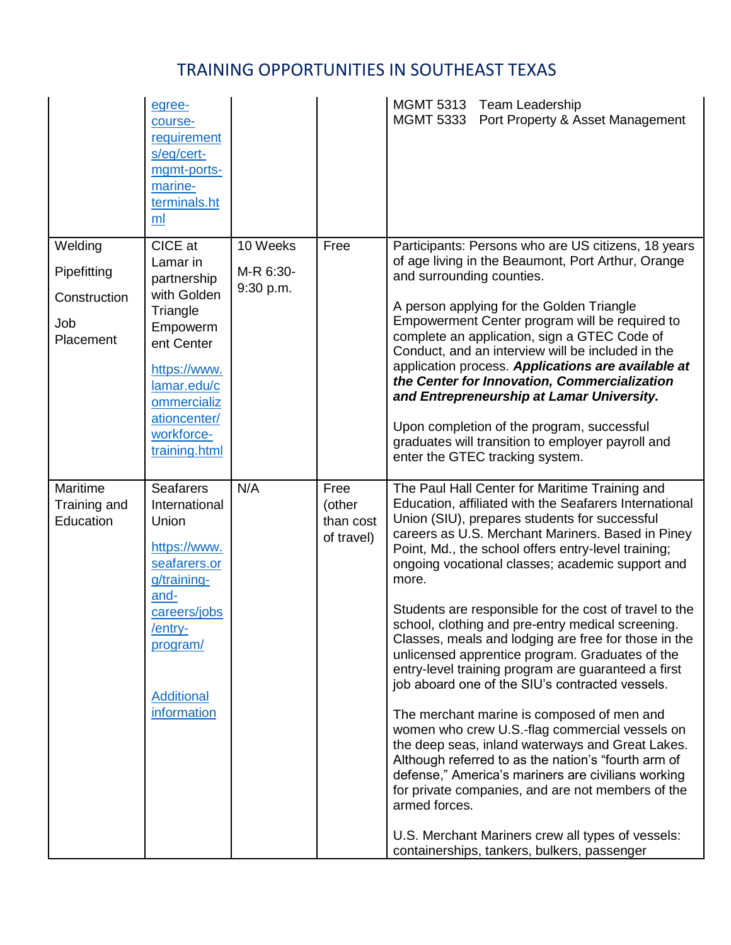|                                                            | egree-<br>course-<br>requirement<br>s/eg/cert-<br>mgmt-ports-<br>marine-<br>terminals.ht<br>ml                                                                                       |                                    |                                           | MGMT 5313 Team Leadership<br>MGMT 5333 Port Property & Asset Management                                                                                                                                                                                                                                                                                                                                                                                                                                                                                                                                                                                                                                                                                                                                                                                                                                                                                                                                                                                                                                           |
|------------------------------------------------------------|--------------------------------------------------------------------------------------------------------------------------------------------------------------------------------------|------------------------------------|-------------------------------------------|-------------------------------------------------------------------------------------------------------------------------------------------------------------------------------------------------------------------------------------------------------------------------------------------------------------------------------------------------------------------------------------------------------------------------------------------------------------------------------------------------------------------------------------------------------------------------------------------------------------------------------------------------------------------------------------------------------------------------------------------------------------------------------------------------------------------------------------------------------------------------------------------------------------------------------------------------------------------------------------------------------------------------------------------------------------------------------------------------------------------|
| Welding<br>Pipefitting<br>Construction<br>Job<br>Placement | CICE at<br>Lamar in<br>partnership<br>with Golden<br>Triangle<br>Empowerm<br>ent Center<br>https://www.<br>lamar.edu/c<br>ommercializ<br>ationcenter/<br>workforce-<br>training.html | 10 Weeks<br>M-R 6:30-<br>9:30 p.m. | Free                                      | Participants: Persons who are US citizens, 18 years<br>of age living in the Beaumont, Port Arthur, Orange<br>and surrounding counties.<br>A person applying for the Golden Triangle<br>Empowerment Center program will be required to<br>complete an application, sign a GTEC Code of<br>Conduct, and an interview will be included in the<br>application process. Applications are available at<br>the Center for Innovation, Commercialization<br>and Entrepreneurship at Lamar University.<br>Upon completion of the program, successful<br>graduates will transition to employer payroll and<br>enter the GTEC tracking system.                                                                                                                                                                                                                                                                                                                                                                                                                                                                               |
| Maritime<br>Training and<br>Education                      | <b>Seafarers</b><br>International<br>Union<br>https://www.<br>seafarers.or<br>g/training-<br>and-<br>careers/jobs<br>/entry-<br>program/<br><b>Additional</b><br>information         | N/A                                | Free<br>(other<br>than cost<br>of travel) | The Paul Hall Center for Maritime Training and<br>Education, affiliated with the Seafarers International<br>Union (SIU), prepares students for successful<br>careers as U.S. Merchant Mariners. Based in Piney<br>Point, Md., the school offers entry-level training;<br>ongoing vocational classes; academic support and<br>more.<br>Students are responsible for the cost of travel to the<br>school, clothing and pre-entry medical screening.<br>Classes, meals and lodging are free for those in the<br>unlicensed apprentice program. Graduates of the<br>entry-level training program are guaranteed a first<br>job aboard one of the SIU's contracted vessels.<br>The merchant marine is composed of men and<br>women who crew U.S.-flag commercial vessels on<br>the deep seas, inland waterways and Great Lakes.<br>Although referred to as the nation's "fourth arm of<br>defense," America's mariners are civilians working<br>for private companies, and are not members of the<br>armed forces.<br>U.S. Merchant Mariners crew all types of vessels:<br>containerships, tankers, bulkers, passenger |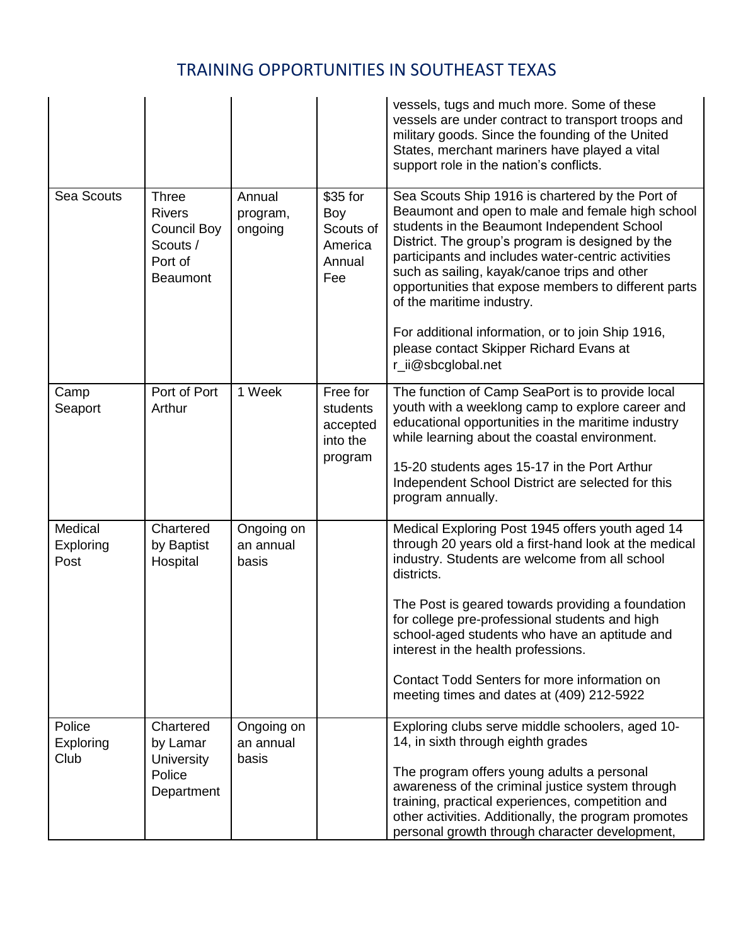|                              |                                                                                               |                                  |                                                          | vessels, tugs and much more. Some of these<br>vessels are under contract to transport troops and<br>military goods. Since the founding of the United<br>States, merchant mariners have played a vital<br>support role in the nation's conflicts.                                                                                                                                                                                                                                                                         |
|------------------------------|-----------------------------------------------------------------------------------------------|----------------------------------|----------------------------------------------------------|--------------------------------------------------------------------------------------------------------------------------------------------------------------------------------------------------------------------------------------------------------------------------------------------------------------------------------------------------------------------------------------------------------------------------------------------------------------------------------------------------------------------------|
| Sea Scouts                   | <b>Three</b><br><b>Rivers</b><br><b>Council Boy</b><br>Scouts /<br>Port of<br><b>Beaumont</b> | Annual<br>program,<br>ongoing    | \$35 for<br>Boy<br>Scouts of<br>America<br>Annual<br>Fee | Sea Scouts Ship 1916 is chartered by the Port of<br>Beaumont and open to male and female high school<br>students in the Beaumont Independent School<br>District. The group's program is designed by the<br>participants and includes water-centric activities<br>such as sailing, kayak/canoe trips and other<br>opportunities that expose members to different parts<br>of the maritime industry.<br>For additional information, or to join Ship 1916,<br>please contact Skipper Richard Evans at<br>r_ii@sbcglobal.net |
| Camp<br>Seaport              | Port of Port<br>Arthur                                                                        | 1 Week                           | Free for<br>students<br>accepted<br>into the<br>program  | The function of Camp SeaPort is to provide local<br>youth with a weeklong camp to explore career and<br>educational opportunities in the maritime industry<br>while learning about the coastal environment.<br>15-20 students ages 15-17 in the Port Arthur<br>Independent School District are selected for this<br>program annually.                                                                                                                                                                                    |
| Medical<br>Exploring<br>Post | Chartered<br>by Baptist<br>Hospital                                                           | Ongoing on<br>an annual<br>basis |                                                          | Medical Exploring Post 1945 offers youth aged 14<br>through 20 years old a first-hand look at the medical<br>industry. Students are welcome from all school<br>districts.<br>The Post is geared towards providing a foundation<br>for college pre-professional students and high<br>school-aged students who have an aptitude and<br>interest in the health professions.<br>Contact Todd Senters for more information on<br>meeting times and dates at (409) 212-5922                                                    |
| Police<br>Exploring<br>Club  | Chartered<br>by Lamar<br>University<br>Police<br>Department                                   | Ongoing on<br>an annual<br>basis |                                                          | Exploring clubs serve middle schoolers, aged 10-<br>14, in sixth through eighth grades<br>The program offers young adults a personal<br>awareness of the criminal justice system through<br>training, practical experiences, competition and<br>other activities. Additionally, the program promotes<br>personal growth through character development,                                                                                                                                                                   |